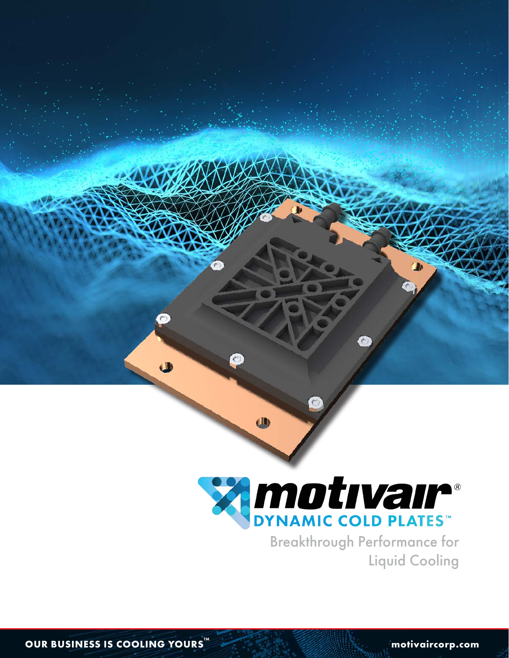

W

Breakthrough Performance for Liquid Cooling

 $\bullet$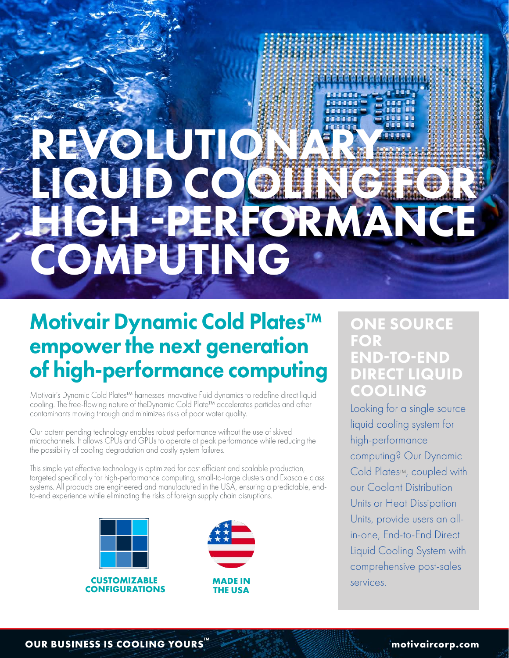# REVOLUTION LIQUID COOLING FOR  $H$  -performance  $P$ COMPUTING

# Motivair Dynamic Cold Plates™ empower the next generation of high-performance computing

Motivair's Dynamic Cold Plates™ harnesses innovative fluid dynamics to redefine direct liquid cooling. The free-flowing nature of theDynamic Cold Plate™ accelerates particles and other contaminants moving through and minimizes risks of poor water quality.

Our patent pending technology enables robust performance without the use of skived microchannels. It allows CPUs and GPUs to operate at peak performance while reducing the the possibility of cooling degradation and costly system failures.

This simple yet effective technology is optimized for cost efficient and scalable production, targeted specifically for high-performance computing, small-to-large clusters and Exascale class systems. All products are engineered and manufactured in the USA, ensuring a predictable, endto-end experience while eliminating the risks of foreign supply chain disruptions.





# ONE SOURCE FOR END-TO-END DIRECT LIQUID COOLING

Looking for a single source liquid cooling system for high-performance computing? Our Dynamic Cold Plates™, coupled with our Coolant Distribution Units or Heat Dissipation Units, provide users an allin-one, End-to-End Direct Liquid Cooling System with comprehensive post-sales services.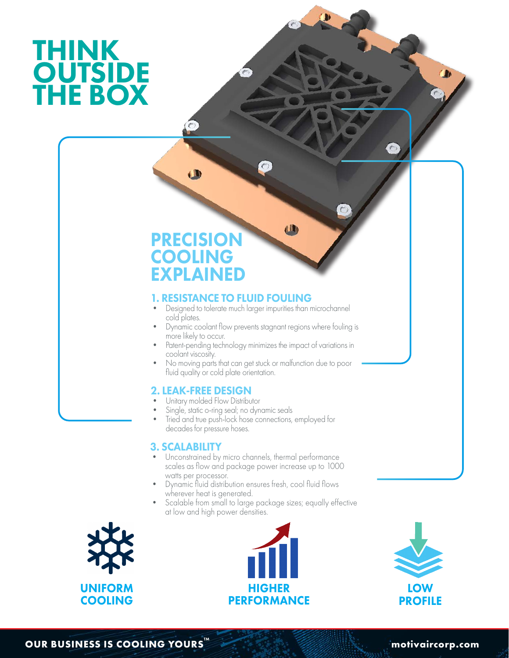# THINK **OUTSIDE** THE BOX

T

# PRECISION COOLING EXPLAINED

 $\mathbf{u}$ 

# 1. RESISTANCE TO FLUID FOULING

- Designed to tolerate much larger impurities than microchannel cold plates.
- Dynamic coolant flow prevents stagnant regions where fouling is more likely to occur.
- Patent-pending technology minimizes the impact of variations in coolant viscosity.
- No moving parts that can get stuck or malfunction due to poor fluid quality or cold plate orientation.

# 2. LEAK-FREE DESIGN

- Unitary molded Flow Distributor
- Single, static o-ring seal; no dynamic seals
- Tried and true push-lock hose connections, employed for decades for pressure hoses.

# 3. SCALABILITY

- Unconstrained by micro channels, thermal performance scales as flow and package power increase up to 1000 watts per processor.
- Dynamic fluid distribution ensures fresh, cool fluid flows wherever heat is generated.
- Scalable from small to large package sizes; equally effective at low and high power densities.







**OUR BUSINESS IS COOLING YOURS Motion And All Accounts and Accounts and Accounts and Accounts and TMS and Accounts and Accounts and Accounts and Accounts and Accounts and Accounts and Accounts and Accounts and Accounts a**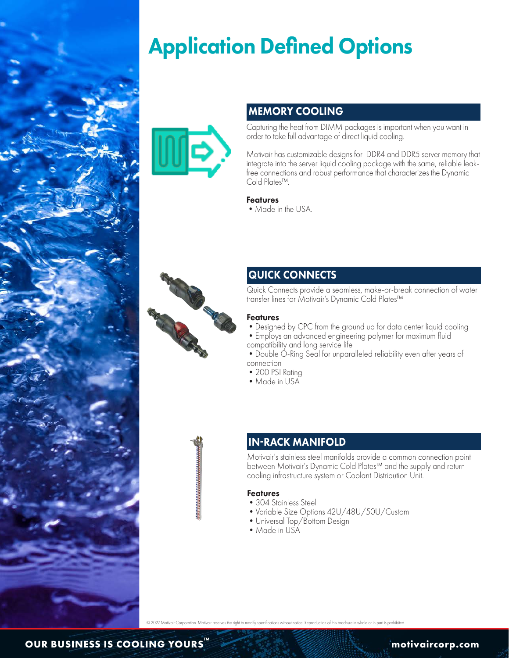

# Application Defined Options



# MEMORY COOLING

Capturing the heat from DIMM packages is important when you want in order to take full advantage of direct liquid cooling.

Motivair has customizable designs for DDR4 and DDR5 server memory that integrate into the server liquid cooling package with the same, reliable leakfree connections and robust performance that characterizes the Dynamic Cold Plates™.

## **Features**

• Made in the USA.



## QUICK CONNECTS

Quick Connects provide a seamless, make-or-break connection of water transfer lines for Motivair's Dynamic Cold Plates™

#### Features

- •Designed by CPC from the ground up for data center liquid cooling
- •Employs an advanced engineering polymer for maximum fluid compatibility and long service life
- Double O-Ring Seal for unparalleled reliability even after years of connection
- 200 PSI Rating
- Made in USA
- 

# IN-RACK MANIFOLD

Motivair's stainless steel manifolds provide a common connection point between Motivair's Dynamic Cold Plates™ and the supply and return cooling infrastructure system or Coolant Distribution Unit.

#### Features

- 304 Stainless Steel
- •Variable Size Options 42U/48U/50U/Custom
- •Universal Top/Bottom Design
- •Made in USA

of notice. Reproduction of this brochure in whole or in part is prohibit